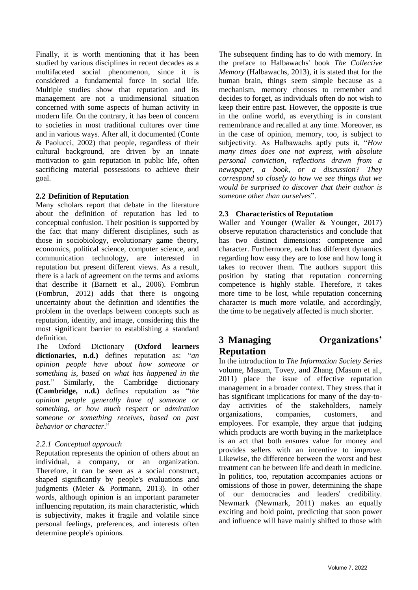Finally, it is worth mentioning that it has been studied by various disciplines in recent decades as a multifaceted social phenomenon, since it is considered a fundamental force in social life. Multiple studies show that reputation and its management are not a unidimensional situation concerned with some aspects of human activity in modern life. On the contrary, it has been of concern to societies in most traditional cultures over time and in various ways. After all, it documented (Conte & Paolucci, 2002) that people, regardless of their cultural background, are driven by an innate motivation to gain reputation in public life, often sacrificing material possessions to achieve their goal.

### **2.2 Definition of Reputation**

Many scholars report that debate in the literature about the definition of reputation has led to conceptual confusion. Their position is supported by the fact that many different disciplines, such as those in sociobiology, evolutionary game theory, economics, political science, computer science, and communication technology, are interested in reputation but present different views. As a result, there is a lack of agreement on the terms and axioms that describe it (Barnett et al., 2006). Fombrun (Fombrun, 2012) adds that there is ongoing uncertainty about the definition and identifies the problem in the overlaps between concepts such as reputation, identity, and image, considering this the most significant barrier to establishing a standard definition.

The Oxford Dictionary **(Oxford learners dictionaries, n.d.)** defines reputation as: "*an opinion people have about how someone or something is, based on what has happened in the past*." Similarly, the Cambridge dictionary **(Cambridge, n.d.)** defines reputation as "*the opinion people generally have of someone or something, or how much respect or admiration someone or something receives, based on past behavior or character*."

### *2.2.1 Conceptual approach*

Reputation represents the opinion of others about an individual, a company, or an organization. Therefore, it can be seen as a social construct, shaped significantly by people's evaluations and judgments (Meier & Portmann, 2013). In other words, although opinion is an important parameter influencing reputation, its main characteristic, which is subjectivity, makes it fragile and volatile since personal feelings, preferences, and interests often determine people's opinions.

The subsequent finding has to do with memory. In the preface to Halbawachs' book *The Collective Memory* (Halbawachs, 2013), it is stated that for the human brain, things seem simple because as a mechanism, memory chooses to remember and decides to forget, as individuals often do not wish to keep their entire past. However, the opposite is true in the online world, as everything is in constant remembrance and recalled at any time. Moreover, as in the case of opinion, memory, too, is subject to subjectivity. As Halbawachs aptly puts it, "*How many times does one not express, with absolute personal conviction, reflections drawn from a newspaper, a book, or a discussion? They correspond so closely to how we see things that we would be surprised to discover that their author is someone other than ourselves*".

### **2.3 Characteristics of Reputation**

Waller and Younger (Waller & Younger, 2017) observe reputation characteristics and conclude that has two distinct dimensions: competence and character. Furthermore, each has different dynamics regarding how easy they are to lose and how long it takes to recover them. The authors support this position by stating that reputation concerning competence is highly stable. Therefore, it takes more time to be lost, while reputation concerning character is much more volatile, and accordingly, the time to be negatively affected is much shorter.

# **3 Managing Organizations' Reputation**

In the introduction to *The Information Society Series* volume, Masum, Tovey, and Zhang (Masum et al., 2011) place the issue of effective reputation management in a broader context. They stress that it has significant implications for many of the day-today activities of the stakeholders, namely organizations, companies, customers, and employees. For example, they argue that judging which products are worth buying in the marketplace is an act that both ensures value for money and provides sellers with an incentive to improve. Likewise, the difference between the worst and best treatment can be between life and death in medicine. In politics, too, reputation accompanies actions or omissions of those in power, determining the shape of our democracies and leaders' credibility. Newmark (Newmark, 2011) makes an equally exciting and bold point, predicting that soon power and influence will have mainly shifted to those with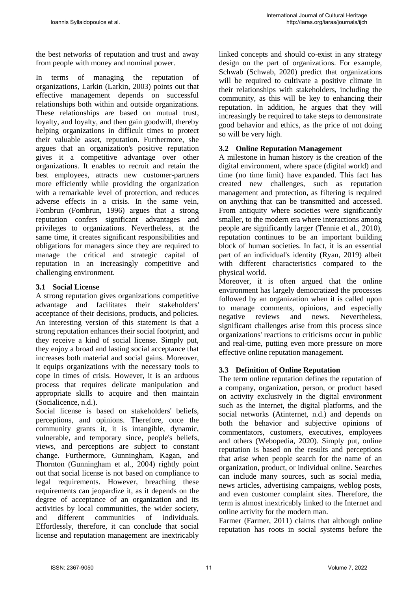the best networks of reputation and trust and away from people with money and nominal power.

In terms of managing the reputation of organizations, Larkin (Larkin, 2003) points out that effective management depends on successful relationships both within and outside organizations. These relationships are based on mutual trust, loyalty, and loyalty, and then gain goodwill, thereby helping organizations in difficult times to protect their valuable asset, reputation. Furthermore, she argues that an organization's positive reputation gives it a competitive advantage over other organizations. It enables to recruit and retain the best employees, attracts new customer-partners more efficiently while providing the organization with a remarkable level of protection, and reduces adverse effects in a crisis. In the same vein, Fombrun (Fombrun, 1996) argues that a strong reputation confers significant advantages and privileges to organizations. Nevertheless, at the same time, it creates significant responsibilities and obligations for managers since they are required to manage the critical and strategic capital of reputation in an increasingly competitive and challenging environment.

### **3.1 Social License**

A strong reputation gives organizations competitive advantage and facilitates their stakeholders' acceptance of their decisions, products, and policies. An interesting version of this statement is that a strong reputation enhances their social footprint, and they receive a kind of social license. Simply put, they enjoy a broad and lasting social acceptance that increases both material and social gains. Moreover, it equips organizations with the necessary tools to cope in times of crisis. However, it is an arduous process that requires delicate manipulation and appropriate skills to acquire and then maintain (Socialicence, n.d.).

Social license is based on stakeholders' beliefs, perceptions, and opinions. Therefore, once the community grants it, it is intangible, dynamic, vulnerable, and temporary since, people's beliefs, views, and perceptions are subject to constant change. Furthermore, Gunningham, Kagan, and Thornton (Gunningham et al., 2004) rightly point out that social license is not based on compliance to legal requirements. However, breaching these requirements can jeopardize it, as it depends on the degree of acceptance of an organization and its activities by local communities, the wider society, and different communities of individuals. Effortlessly, therefore, it can conclude that social license and reputation management are inextricably linked concepts and should co-exist in any strategy design on the part of organizations. For example, Schwab (Schwab, 2020) predict that organizations will be required to cultivate a positive climate in their relationships with stakeholders, including the community, as this will be key to enhancing their reputation. In addition, he argues that they will increasingly be required to take steps to demonstrate good behavior and ethics, as the price of not doing so will be very high.

### **3.2 Online Reputation Management**

A milestone in human history is the creation of the digital environment, where space (digital world) and time (no time limit) have expanded. This fact has created new challenges, such as reputation management and protection, as filtering is required on anything that can be transmitted and accessed. From antiquity where societies were significantly smaller, to the modern era where interactions among people are significantly larger (Tennie et al., 2010), reputation continues to be an important building block of human societies. In fact, it is an essential part of an individual's identity (Ryan, 2019) albeit with different characteristics compared to the physical world.

Moreover, it is often argued that the online environment has largely democratized the processes followed by an organization when it is called upon to manage comments, opinions, and especially negative reviews and news. Nevertheless, significant challenges arise from this process since organizations' reactions to criticisms occur in public and real-time, putting even more pressure on more effective online reputation management.

### **3.3 Definition of Online Reputation**

The term online reputation defines the reputation of a company, organization, person, or product based on activity exclusively in the digital environment such as the Internet, the digital platforms, and the social networks (Atinternet, n.d.) and depends on both the behavior and subjective opinions of commentators, customers, executives, employees and others (Webopedia, 2020). Simply put, online reputation is based on the results and perceptions that arise when people search for the name of an organization, product, or individual online. Searches can include many sources, such as social media, news articles, advertising campaigns, weblog posts, and even customer complaint sites. Therefore, the term is almost inextricably linked to the Internet and online activity for the modern man.

Farmer (Farmer, 2011) claims that although online reputation has roots in social systems before the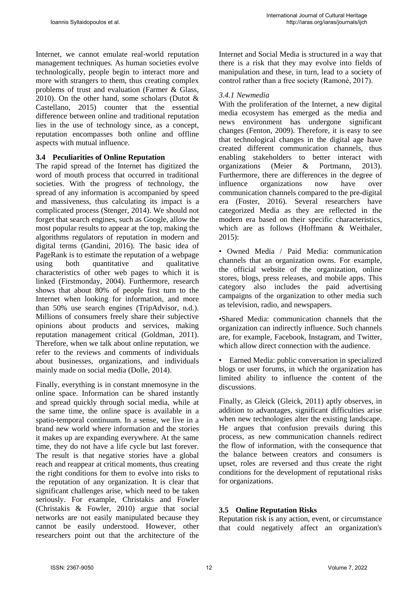Internet, we cannot emulate real-world reputation management techniques. As human societies evolve technologically, people begin to interact more and more with strangers to them, thus creating complex problems of trust and evaluation (Farmer & Glass, 2010). On the other hand, some scholars (Dutot  $\&$ Castellano, 2015) counter that the essential difference between online and traditional reputation lies in the use of technology since, as a concept, reputation encompasses both online and offline aspects with mutual influence.

### **3.4 Peculiarities of Online Reputation**

The rapid spread of the Internet has digitized the word of mouth process that occurred in traditional societies. With the progress of technology, the spread of any information is accompanied by speed and massiveness, thus calculating its impact is a complicated process (Stenger, 2014). We should not forget that search engines, such as Google, allow the most popular results to appear at the top, making the algorithms regulators of reputation in modern and digital terms (Gandini, 2016). The basic idea of PageRank is to estimate the reputation of a webpage using both quantitative and qualitative characteristics of other web pages to which it is linked (Firstmonday, 2004). Furthermore, research shows that about 80% of people first turn to the Internet when looking for information, and more than 50% use search engines (TripAdvisor, n.d.). Millions of consumers freely share their subjective opinions about products and services, making reputation management critical (Goldman, 2011). Therefore, when we talk about online reputation, we refer to the reviews and comments of individuals about businesses, organizations, and individuals mainly made on social media (Dolle, 2014).

Finally, everything is in constant mnemosyne in the online space. Information can be shared instantly and spread quickly through social media, while at the same time, the online space is available in a spatio-temporal continuum. In a sense, we live in a brand new world where information and the stories it makes up are expanding everywhere. At the same time, they do not have a life cycle but last forever. The result is that negative stories have a global reach and reappear at critical moments, thus creating the right conditions for them to evolve into risks to the reputation of any organization. It is clear that significant challenges arise, which need to be taken seriously. For example, Christakis and Fowler (Christakis & Fowler, 2010) argue that social networks are not easily manipulated because they cannot be easily understood. However, other researchers point out that the architecture of the Internet and Social Media is structured in a way that there is a risk that they may evolve into fields of manipulation and these, in turn, lead to a society of control rather than a free society (Ramoné, 2017).

### *3.4.1 Newmedia*

With the proliferation of the Internet, a new digital media ecosystem has emerged as the media and news environment has undergone significant changes (Fenton, 2009). Therefore, it is easy to see that technological changes in the digital age have created different communication channels, thus enabling stakeholders to better interact with organizations (Meier & Portmann, 2013). Furthermore, there are differences in the degree of influence organizations now have over communication channels compared to the pre-digital era (Foster, 2016). Several researchers have categorized Media as they are reflected in the modern era based on their specific characteristics, which are as follows (Hoffmann & Weithaler, 2015):

• Owned Media / Paid Media: communication channels that an organization owns. For example, the official website of the organization, online stores, blogs, press releases, and mobile apps. This category also includes the paid advertising campaigns of the organization to other media such as television, radio, and newspapers.

•Shared Media: communication channels that the organization can indirectly influence. Such channels are, for example, Facebook, Instagram, and Twitter, which allow direct connection with the audience.

• Earned Media: public conversation in specialized blogs or user forums, in which the organization has limited ability to influence the content of the discussions.

Finally, as Gleick (Gleick, 2011) aptly observes, in addition to advantages, significant difficulties arise when new technologies alter the existing landscape. He argues that confusion prevails during this process, as new communication channels redirect the flow of information, with the consequence that the balance between creators and consumers is upset, roles are reversed and thus create the right conditions for the development of reputational risks for organizations.

### **3.5 Online Reputation Risks**

Reputation risk is any action, event, or circumstance that could negatively affect an organization's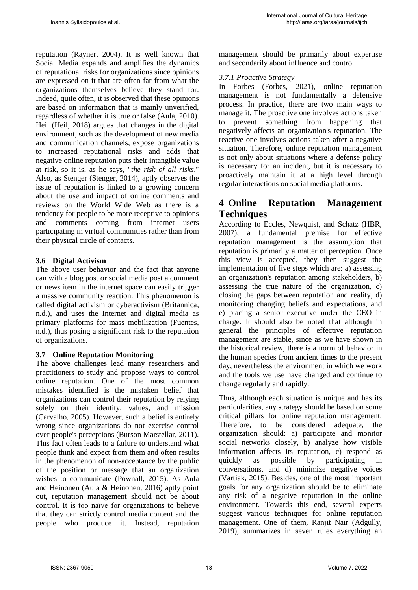reputation (Rayner, 2004). It is well known that Social Media expands and amplifies the dynamics of reputational risks for organizations since opinions are expressed on it that are often far from what the organizations themselves believe they stand for. Indeed, quite often, it is observed that these opinions are based on information that is mainly unverified, regardless of whether it is true or false (Aula, 2010). Heil (Heil, 2018) argues that changes in the digital environment, such as the development of new media and communication channels, expose organizations to increased reputational risks and adds that negative online reputation puts their intangible value at risk, so it is, as he says, "*the risk of all risks*." Also, as Stenger (Stenger, 2014), aptly observes the issue of reputation is linked to a growing concern about the use and impact of online comments and reviews on the World Wide Web as there is a tendency for people to be more receptive to opinions and comments coming from internet users participating in virtual communities rather than from their physical circle of contacts.

### **3.6 Digital Activism**

The above user behavior and the fact that anyone can with a blog post or social media post a comment or news item in the internet space can easily trigger a massive community reaction. This phenomenon is called digital activism or cyberactivism (Britannica, n.d.), and uses the Internet and digital media as primary platforms for mass mobilization (Fuentes, n.d.), thus posing a significant risk to the reputation of organizations.

### **3.7 Online Reputation Monitoring**

The above challenges lead many researchers and practitioners to study and propose ways to control online reputation. One of the most common mistakes identified is the mistaken belief that organizations can control their reputation by relying solely on their identity, values, and mission (Carvalho, 2005). However, such a belief is entirely wrong since organizations do not exercise control over people's perceptions (Burson Marstellar, 2011). This fact often leads to a failure to understand what people think and expect from them and often results in the phenomenon of non-acceptance by the public of the position or message that an organization wishes to communicate (Pownall, 2015). As Aula and Heinonen (Aula & Heinonen, 2016) aptly point out, reputation management should not be about control. It is too naïve for organizations to believe that they can strictly control media content and the people who produce it. Instead, reputation management should be primarily about expertise and secondarily about influence and control.

### *3.7.1 Proactive Strategy*

In Forbes (Forbes, 2021), online reputation management is not fundamentally a defensive process. In practice, there are two main ways to manage it. The proactive one involves actions taken to prevent something from happening that negatively affects an organization's reputation. The reactive one involves actions taken after a negative situation. Therefore, online reputation management is not only about situations where a defense policy is necessary for an incident, but it is necessary to proactively maintain it at a high level through regular interactions on social media platforms.

## **4 Online Reputation Management Techniques**

According to Eccles, Newquist, and Schatz (HBR, 2007), a fundamental premise for effective reputation management is the assumption that reputation is primarily a matter of perception. Once this view is accepted, they then suggest the implementation of five steps which are: a) assessing an organization's reputation among stakeholders, b) assessing the true nature of the organization, c) closing the gaps between reputation and reality, d) monitoring changing beliefs and expectations, and e) placing a senior executive under the CEO in charge. It should also be noted that although in general the principles of effective reputation management are stable, since as we have shown in the historical review, there is a norm of behavior in the human species from ancient times to the present day, nevertheless the environment in which we work and the tools we use have changed and continue to change regularly and rapidly.

Thus, although each situation is unique and has its particularities, any strategy should be based on some critical pillars for online reputation management. Therefore, to be considered adequate, the organization should: a) participate and monitor social networks closely, b) analyze how visible information affects its reputation, c) respond as quickly as possible by participating in conversations, and d) minimize negative voices (Vartiak, 2015). Besides, one of the most important goals for any organization should be to eliminate any risk of a negative reputation in the online environment. Towards this end, several experts suggest various techniques for online reputation management. One of them, Ranjit Nair (Adgully, 2019), summarizes in seven rules everything an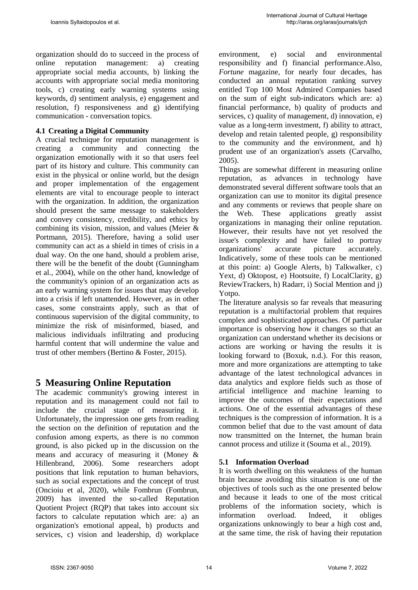organization should do to succeed in the process of online reputation management: a) creating appropriate social media accounts, b) linking the accounts with appropriate social media monitoring tools, c) creating early warning systems using keywords, d) sentiment analysis, e) engagement and resolution, f) responsiveness and g) identifying communication - conversation topics.

### **4.1 Creating a Digital Community**

A crucial technique for reputation management is creating a community and connecting the organization emotionally with it so that users feel part of its history and culture. This community can exist in the physical or online world, but the design and proper implementation of the engagement elements are vital to encourage people to interact with the organization. In addition, the organization should present the same message to stakeholders and convey consistency, credibility, and ethics by combining its vision, mission, and values (Meier & Portmann, 2015). Therefore, having a solid user community can act as a shield in times of crisis in a dual way. On the one hand, should a problem arise, there will be the benefit of the doubt (Gunningham et al., 2004), while on the other hand, knowledge of the community's opinion of an organization acts as an early warning system for issues that may develop into a crisis if left unattended. However, as in other cases, some constraints apply, such as that of continuous supervision of the digital community, to minimize the risk of misinformed, biased, and malicious individuals infiltrating and producing harmful content that will undermine the value and trust of other members (Bertino & Foster, 2015).

## **5 Measuring Online Reputation**

The academic community's growing interest in reputation and its management could not fail to include the crucial stage of measuring it. Unfortunately, the impression one gets from reading the section on the definition of reputation and the confusion among experts, as there is no common ground, is also picked up in the discussion on the means and accuracy of measuring it (Money & Hillenbrand, 2006). Some researchers adopt positions that link reputation to human behaviors, such as social expectations and the concept of trust (Oncioiu et al, 2020), while Fombrun (Fombrun, 2009) has invented the so-called Reputation Quotient Project (RQP) that takes into account six factors to calculate reputation which are: a) an organization's emotional appeal, b) products and services, c) vision and leadership, d) workplace environment, e) social and environmental responsibility and f) financial performance.Also, *Fortune* magazine, for nearly four decades, has conducted an annual reputation ranking survey entitled Top 100 Most Admired Companies based on the sum of eight sub-indicators which are: a) financial performance, b) quality of products and services, c) quality of management, d) innovation, e) value as a long-term investment, f) ability to attract, develop and retain talented people, g) responsibility to the community and the environment, and h) prudent use of an organization's assets (Carvalho, 2005).

Things are somewhat different in measuring online reputation, as advances in technology have demonstrated several different software tools that an organization can use to monitor its digital presence and any comments or reviews that people share on the Web. These applications greatly assist organizations in managing their online reputation. However, their results have not yet resolved the issue's complexity and have failed to portray organizations' accurate picture accurately. Indicatively, some of these tools can be mentioned at this point: a) Google Alerts, b) Talkwalker, c) Yext, d) Oktopost, e) Hootsuite, f) LocalClarity, g) ReviewTrackers, h) Radarr, i) Social Mention and j) Yotpo.

The literature analysis so far reveals that measuring reputation is a multifactorial problem that requires complex and sophisticated approaches. Of particular importance is observing how it changes so that an organization can understand whether its decisions or actions are working or having the results it is looking forward to (Boxuk, n.d.). For this reason, more and more organizations are attempting to take advantage of the latest technological advances in data analytics and explore fields such as those of artificial intelligence and machine learning to improve the outcomes of their expectations and actions. One of the essential advantages of these techniques is the compression of information. It is a common belief that due to the vast amount of data now transmitted on the Internet, the human brain cannot process and utilize it (Souma et al., 2019).

### **5.1 Information Overload**

It is worth dwelling on this weakness of the human brain because avoiding this situation is one of the objectives of tools such as the one presented below and because it leads to one of the most critical problems of the information society, which is information overload. Indeed, it obliges organizations unknowingly to bear a high cost and, at the same time, the risk of having their reputation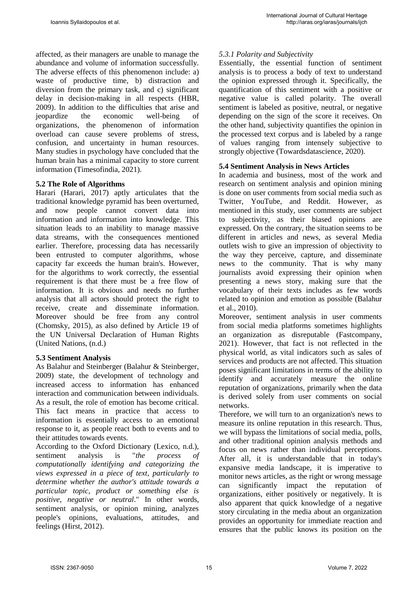affected, as their managers are unable to manage the abundance and volume of information successfully. The adverse effects of this phenomenon include: a) waste of productive time, b) distraction and diversion from the primary task, and c) significant delay in decision-making in all respects (HBR, 2009). In addition to the difficulties that arise and jeopardize the economic well-being of organizations, the phenomenon of information overload can cause severe problems of stress, confusion, and uncertainty in human resources. Many studies in psychology have concluded that the human brain has a minimal capacity to store current information (Timesofindia, 2021).

### **5.2 The Role of Algorithms**

Harari (Harari, 2017) aptly articulates that the traditional knowledge pyramid has been overturned, and now people cannot convert data into information and information into knowledge. This situation leads to an inability to manage massive data streams, with the consequences mentioned earlier. Therefore, processing data has necessarily been entrusted to computer algorithms, whose capacity far exceeds the human brain's. However, for the algorithms to work correctly, the essential requirement is that there must be a free flow of information. It is obvious and needs no further analysis that all actors should protect the right to receive, create and disseminate information. Moreover should be free from any control (Chomsky, 2015), as also defined by Article 19 of the UN Universal Declaration of Human Rights (United Nations, (n.d.)

### **5.3 Sentiment Analysis**

As Balahur and Steinberger (Balahur & Steinberger, 2009) state, the development of technology and increased access to information has enhanced interaction and communication between individuals. As a result, the role of emotion has become critical. This fact means in practice that access to information is essentially access to an emotional response to it, as people react both to events and to their attitudes towards events.

According to the Oxford Dictionary (Lexico, n.d.), sentiment analysis is "*the process of computationally identifying and categorizing the views expressed in a piece of text, particularly to determine whether the author's attitude towards a particular topic, product or something else is positive, negative or neutral*." In other words, sentiment analysis, or opinion mining, analyzes people's opinions, evaluations, attitudes, and feelings (Hirst, 2012).

### *5.3.1 Polarity and Subjectivity*

Essentially, the essential function of sentiment analysis is to process a body of text to understand the opinion expressed through it. Specifically, the quantification of this sentiment with a positive or negative value is called polarity. The overall sentiment is labeled as positive, neutral, or negative depending on the sign of the score it receives. On the other hand, subjectivity quantifies the opinion in the processed text corpus and is labeled by a range of values ranging from intensely subjective to strongly objective (Towardsdatascience, 2020).

### **5.4 Sentiment Analysis in News Articles**

In academia and business, most of the work and research on sentiment analysis and opinion mining is done on user comments from social media such as Twitter, YouTube, and Reddit. However, as mentioned in this study, user comments are subject to subjectivity, as their biased opinions are expressed. On the contrary, the situation seems to be different in articles and news, as several Media outlets wish to give an impression of objectivity to the way they perceive, capture, and disseminate news to the community. That is why many journalists avoid expressing their opinion when presenting a news story, making sure that the vocabulary of their texts includes as few words related to opinion and emotion as possible (Balahur et al., 2010).

Moreover, sentiment analysis in user comments from social media platforms sometimes highlights an organization as disreputable (Fastcompany, 2021). However, that fact is not reflected in the physical world, as vital indicators such as sales of services and products are not affected. This situation poses significant limitations in terms of the ability to identify and accurately measure the online reputation of organizations, primarily when the data is derived solely from user comments on social networks.

Therefore, we will turn to an organization's news to measure its online reputation in this research. Thus, we will bypass the limitations of social media, polls, and other traditional opinion analysis methods and focus on news rather than individual perceptions. After all, it is understandable that in today's expansive media landscape, it is imperative to monitor news articles, as the right or wrong message can significantly impact the reputation of organizations, either positively or negatively. It is also apparent that quick knowledge of a negative story circulating in the media about an organization provides an opportunity for immediate reaction and ensures that the public knows its position on the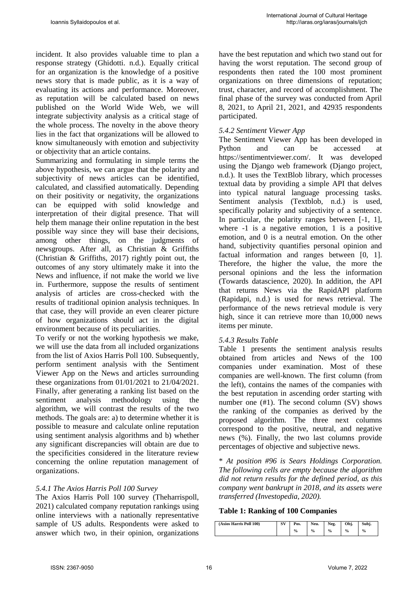incident. It also provides valuable time to plan a response strategy (Ghidotti. n.d.). Equally critical for an organization is the knowledge of a positive news story that is made public, as it is a way of evaluating its actions and performance. Moreover, as reputation will be calculated based on news published on the World Wide Web, we will integrate subjectivity analysis as a critical stage of the whole process. The novelty in the above theory lies in the fact that organizations will be allowed to know simultaneously with emotion and subjectivity or objectivity that an article contains.

Summarizing and formulating in simple terms the above hypothesis, we can argue that the polarity and subjectivity of news articles can be identified, calculated, and classified automatically. Depending on their positivity or negativity, the organizations can be equipped with solid knowledge and interpretation of their digital presence. That will help them manage their online reputation in the best possible way since they will base their decisions, among other things, on the judgments of newsgroups. After all, as Christian & Griffiths (Christian & Griffiths, 2017) rightly point out, the outcomes of any story ultimately make it into the News and influence, if not make the world we live in. Furthermore, suppose the results of sentiment analysis of articles are cross-checked with the results of traditional opinion analysis techniques. In that case, they will provide an even clearer picture of how organizations should act in the digital environment because of its peculiarities.

To verify or not the working hypothesis we make, we will use the data from all included organizations from the list of Axios Harris Poll 100. Subsequently, perform sentiment analysis with the Sentiment Viewer App on the News and articles surrounding these organizations from 01/01/2021 to 21/04/2021. Finally, after generating a ranking list based on the sentiment analysis methodology using the algorithm, we will contrast the results of the two methods. The goals are: a) to determine whether it is possible to measure and calculate online reputation using sentiment analysis algorithms and b) whether any significant discrepancies will obtain are due to the specificities considered in the literature review concerning the online reputation management of organizations.

### *5.4.1 The Axios Harris Poll 100 Survey*

The Axios Harris Poll 100 survey (Theharrispoll, 2021) calculated company reputation rankings using online interviews with a nationally representative sample of US adults. Respondents were asked to answer which two, in their opinion, organizations have the best reputation and which two stand out for having the worst reputation. The second group of respondents then rated the 100 most prominent organizations on three dimensions of reputation; trust, character, and record of accomplishment. The final phase of the survey was conducted from April 8, 2021, to April 21, 2021, and 42935 respondents participated.

### *5.4.2 Sentiment Viewer App*

The Sentiment Viewer App has been developed in Python and can be accessed at https://sentimentviewer.com/. It was developed using the Django web framework (Django project, n.d.). It uses the TextBlob library, which processes textual data by providing a simple API that delves into typical natural language processing tasks. Sentiment analysis (Textblob, n.d.) is used, specifically polarity and subjectivity of a sentence. In particular, the polarity ranges between [-1, 1], where  $-1$  is a negative emotion, 1 is a positive emotion, and 0 is a neutral emotion. On the other hand, subjectivity quantifies personal opinion and factual information and ranges between [0, 1]. Therefore, the higher the value, the more the personal opinions and the less the information (Towards datascience, 2020). In addition, the API that returns News via the RapidAPI platform (Rapidapi, n.d.) is used for news retrieval. The performance of the news retrieval module is very high, since it can retrieve more than 10,000 news items per minute.

### *5.4.3 Results Table*

Table 1 presents the sentiment analysis results obtained from articles and News of the 100 companies under examination. Most of these companies are well-known. The first column (from the left), contains the names of the companies with the best reputation in ascending order starting with number one (#1). The second column (SV) shows the ranking of the companies as derived by the proposed algorithm. The three next columns correspond to the positive, neutral, and negative news (%). Finally, the two last columns provide percentages of objective and subjective news.

\* *At position #96 is Sears Holdings Corporation. The following cells are empty because the algorithm did not return results for the defined period, as this company went bankrupt in 2018, and its assets were transferred (Investopedia, 2020).* 

### **Table 1: Ranking of 100 Companies**

| 'Axios Harris Poll 100) | SV | Pos.          | Neu.          | Neg.          | Obi.          | Subi.         |
|-------------------------|----|---------------|---------------|---------------|---------------|---------------|
|                         |    | $\frac{0}{0}$ | $\frac{0}{0}$ | $\frac{0}{0}$ | $\frac{0}{0}$ | $\frac{0}{0}$ |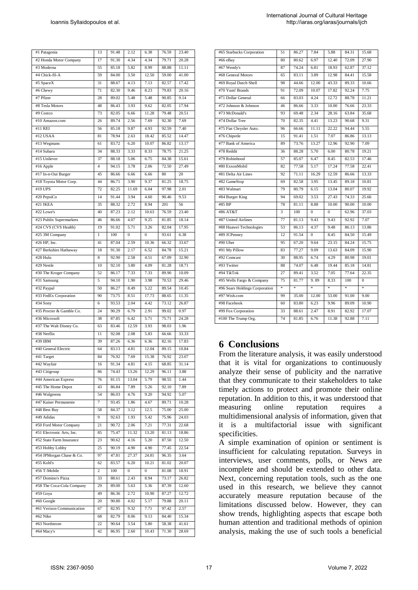| #1 Patagonia                          | 13           | 91.48          | 2.12             | 6.38             | 76.59          | 23.40         |
|---------------------------------------|--------------|----------------|------------------|------------------|----------------|---------------|
| #2 Honda Motor Company                | 17           | 91.30          | 4.34             | 4.34             | 79.71          | 20.28         |
| #3 Moderna                            | 55           | 85.18          | 5.82             | 8.99             | 88.88          | 11.11         |
| #4 Chick-fil-A                        | 59           | 84.00          | 3.50             | 12.50            | 59.00          | 41.00         |
| #5 SpaceX                             | 31           | 88.67          | 4.13             | 7.13             | 82.57          | 17.42         |
| #6 Chewy                              | 71           | 82.30          | 9.46             | 8.23             | 79.83          | 20.16         |
| #7 Pfizer                             | 28           | 89.02          | 5.48             | 5.48             | 90.85          | 9.14          |
| #8 Tesla Motors                       | 48           | 86.43          | 3.93             | 9.62             | 82.05          | 17.94         |
| #9 Costco                             | 73           | 82.05          | 6.66             | 11.28            | 79.48          | 20.51         |
| #10 Amazon.com                        | 26           | 89.74          | 2.56             | 7.69             | 92.30          | 7.69          |
| #11 REI                               | 56           | 85.18          | 9.87             | 4.93             | 92.59          | 7.40          |
| #12 USAA                              | 81           | 78.94          | 2.63             | 18.42            | 85.52          | 14.47         |
| #13 Wegmans                           | 61           | 83.72          | 6.20             | 10.07            | 86.82          | 13.17         |
| #14 Subaru                            | 34           | 88.33          | 3.33             | 8.33             | 78.75          | 21.25         |
| #15 Unilever                          | 37           | 88.18          | 5.06             | 6.75             | 84.38          | 15.61         |
| #16 Apple                             | 4            | 94.15          | 3.78             | 2.06             | 72.50          | 27.49         |
| #17 In-n-Out Burger                   | 45           | 86.66          | 6.66             | 6.66             | 80             | 20            |
| #18 Toyota Motor Corp.                | 44           | 86.71          | 3.90             | 9.37             | 81.25          | 18.75         |
| #19 UPS                               | 72           | 82.25          | 11.69            | 6.04             | 97.98          | 2.01          |
| #20 PepsiCo                           | 14           | 91.44          | 3.94             | 4.60             | 90.46          | 9.53          |
| $#21$ IKEA                            | 35           | 88.32          | 2.72             | 8.94             | 201            | 56            |
| $#22$ Lowe's                          | 40           | 87.23          | 2.12             | 10.63            | 76.59          | 23.40         |
| #23 Publix Supermarkets               | 46           | 86.66          | 4.07             | 9.25             | 81.85          | 18.14         |
| #24 CVS (CVS Health)                  | 19           | 91.02          | 5.71             | 3.26             | 82.04          | 17.95         |
| #25 3M Company                        | $\mathbf{1}$ | 100            | $\mathbf{0}$     | $\mathbf{0}$     | 93.61          | 6.38          |
| #26 HP. Inc.                          | 41           | 87.04          | 2.59             | 10.36            | 66.32          | 33.67         |
| #27 Berkshire Hathaway                | 18           | 91.30          | 2.17             | 6.52             | 84.78          | 15.21         |
| #28 Hulu                              | 8            | 92.90          | 2.58             | 4.51             | 67.09          | 32.90         |
| #29 Nestle                            | 10           | 92.10          | 3.80             | 4.09             | 81.28          | 18.71         |
| #30 The Kroger Company                | 52           | 86.17          | 7.33             | 7.33             | 89.90          | 10.09         |
| #31 Samsung                           | 5            | 94.10          | 1.90             | 3.98             | 70.53          | 29.46         |
| #32 Paypal                            | 50           | 86.27          | 8.49             | 5.22             | 89.54          | 10.45         |
| #33 FedEx Corporation                 | 90           | 73.75          | 8.51             | 17.73            | 88.65          | 11.35         |
| #34 Sony                              | 6            | 93.53          | 2.04             | 4.42             | 73.12          | 26.87         |
|                                       |              |                | 6.79             | 2.91             | 99.02          | 0.97          |
| #35 Procter & Gamble Co.              | 24           | 90.29          |                  |                  |                |               |
| #36 Microsoft                         | 38           | 87.85          | 6.42             | 5.71             | 75.71          | 24.28         |
| #37 The Walt Disney Co.               | 63           | 83.46          | 12.59            | 3.93             | 98.03          | 1.96          |
| #38 Netflix                           | 11           | 92.08          | 2.08             | 5.83             | 66.66          | 33.33         |
| #39 IBM                               | 39           | 87.26          | 6.36             | 6.36             | 82.16          | 17.83         |
| #40 General Electric                  | 64           | 83.13          | 4.81             | 12.04            | 89.15          | 10.84         |
| #41 Target                            | 84           | 76.92          | 7.69             | 15.38            | 76.92          | 23.07         |
|                                       | 16           |                | 4.81             | 4.15             |                |               |
| #42 Wayfair<br>#43 Citigroup          | 86           | 91.34<br>74.43 | 13.26            | 12.29            | 68.85<br>96.11 | 31.14<br>3.88 |
| #44 American Express                  | 76           | 81.15          | 13.04            | 5.79             | 98.55          | 1.44          |
| #45 The Home Depot                    | 43           | 86.84          | 7.89             | 5.26             | 92.10          | 7.89          |
| #46 Walgreens                         | 54           | 86.03          | 4.76             | 9.20             | 94.92          | 5.07          |
| #47 Kaiser Permanente                 | 7            | 93.45          | 1.86             | 4.67             | 89.71          | 10.28         |
| #48 Best Buy                          | 58           | 84.37          | 3.12             | 12.5             | 75.00          | 25.00         |
| #49 Adidas                            | 9            | 92.63          | 1.93             | 5.42             | 75.96          | 24.03         |
| #50 Ford Motor Company                | 21           | 90.72          | 2.06             | 7.21             | 77.31          | 22.68         |
| #51 Electronic Arts, Inc.             | 85           | 75.47          | 11.32            | 13.20            | 81.13          | 18.86         |
| #52 State Farm Insurance              | 23           | 90.62          | 4.16             | 5.20             | 87.50          | 12.50         |
| #53 Hobby Lobby                       | 25           | 90.19          | 4.90             | 4.90             | 77.45          | 22.54         |
| #54 JPMorgan Chase & Co.              | 97           | 47.81          | 27.37            | 24.81            | 96.35          | 3.64          |
| #55 Kohl's                            | 62           | 83.57          | 6.20             | 10.21            | 81.02          | 20.07         |
| #56 T-Mobile                          | 2            | 100            | $\boldsymbol{0}$ | $\boldsymbol{0}$ | 81.08          | 18.91         |
| #57 Domino's Pizza                    | 33           | 88.61          | 2.43             | 8.94             | 73.17          | 26.82         |
|                                       | 29           | 89.00          | 5.63             | 5.36             | 87.39          | 12.60         |
| #58 The Coca-Cola Company<br>#59 Goya | 49           | 86.36          | 2.72             | 10.90            | 87.27          | 12.72         |
| #60 Google                            | 20           | 90.80          | 4.02             | 5.17             | 79.88          | 20.11         |
| #61 Verizon Communication             | 67           | 82.95          | 9.32             | 7.71             | 97.42          | 2.57          |
| #62 Nike                              | 68           | 82.79          | 8.06             | 9.13             | 84.40          | 15.34         |
| #63 Nordstrom                         | 22           | 90.64          | 3.54             | 5.80             | 58.38          | 41.61         |

| #65 Starbucks Corporation      | 51                      | 86.27 | 7.84           | 5.88     | 84.31 | 15.68          |
|--------------------------------|-------------------------|-------|----------------|----------|-------|----------------|
| #66 eBay                       | 80                      | 80.62 | 6.97           | 12.40    | 72.09 | 27.90          |
| #67 Wendy's                    | 87                      | 74.24 | 6.81           | 18.93    | 62.87 | 37.12          |
| #68 General Motors             | 65                      | 83.11 | 3.89           | 12.98    | 84.41 | 15.58          |
| #69 Royal Dutch Shell          | 98                      | 44.66 | 12.00          | 43.33    | 89.33 | 10.66          |
| #70 Yum! Brands                | 91                      | 72.09 | 10.07          | 17.82    | 92.24 | 7.75           |
| #71 Dollar General             | 66                      | 83.03 | 4.24           | 12.72    | 88.78 | 11.21          |
| #72 Johnson & Johnson          | 46                      | 86.66 | 3.33           | 10.00    | 76.66 | 23.33          |
| #73 McDonald's                 | 93                      | 69.48 | 2.34           | 28.16    | 63.84 | 35.68          |
| #74 Dollar Tree                | 70                      | 82.35 | 4.41           | 13.23    | 90.68 | 9.31           |
| #75 Fiat Chrysler Auto.        | 96                      | 66.66 | 11.11          | 22.22    | 94.44 | 5.55           |
| #76 Chipotle                   | 15                      | 91.41 | 1.51           | 7.07     | 86.86 | 13.13          |
| #77 Bank of America            | 89                      | 73.76 | 13.27          | 12.96    | 92.90 | 7.09           |
| #78 Reddit                     | 36                      | 88.28 | 5.70           | 6.00     | 80.78 | 19.21          |
| #79 Robinhood                  | 57                      | 85.07 | 6.47           | 8.45     | 82.53 | 17.46          |
| #80 ExxonMobil                 | 82                      | 77.58 | 5.17           | 17.24    | 77.58 | 22.41          |
| #81 Delta Air Lines            | 92                      | 71.11 | 16.29          | 12.59    | 86.66 | 13.33          |
| #82 GameStop                   | 69                      | 82.58 | 3.95           | 13.45    | 89.18 | 10.81          |
| #83 Walmart                    | 79                      | 80.79 | 6.15           | 13.04    | 80.07 | 19.92          |
| #84 Burger King                | 94                      | 69.02 | 3.53           | 27.43    | 74.33 | 25.66          |
| #85 BP                         | 78                      | 81.11 | 8.88           | 10.00    | 90.00 | 10.00          |
| #86 AT&T                       | $\overline{\mathbf{3}}$ | 100   | $\Omega$       | $\Omega$ | 62.96 | 37.03          |
| #87 United Airlines            | 77                      | 81.13 | 9.43           | 9.43     | 92.92 | 7.07           |
| #88 Huawei Technologies        | 53                      | 86.13 | 4.37           | 9.48     | 86.13 | 13.86          |
| #89 JCPenney                   | 12                      | 91.54 | $\overline{0}$ | 8.45     | 84.50 | 15.49          |
| #90 Uber                       | 95                      | 67.20 | 9.64           | 23.15    | 84.24 | 15.75          |
| #91 My Pillow                  | 83                      | 77.27 | 9.09           | 13.63    | 84.09 | 15.90          |
| #92 Comcast                    | 30                      | 88.95 | 6.74           | 4.29     | 80.98 | 19.01          |
| #93 Twitter                    | 88                      | 74.07 | 6.48           | 19.44    | 85.18 | 14.81          |
| #94 TikTok                     | 27                      | 89.41 | 3.52           | 7.05     | 77.64 | 22.35          |
| #95 Wells Fargo & Company      | 75                      | 81.77 | 9.89           | 8.33     | 100   | $\overline{0}$ |
| #96 Sears Holdings Corporation | $\ast$                  | ¥     | ż              | $\ast$   | š.    | $\ast$         |
| #97 Wish.com                   | 99                      | 35.00 | 12.00          | 53.00    | 91.00 | 9.00           |
| #98 Facebook                   | 60                      | 83.80 | 6.23           | 9.96     | 89.09 | 10.90          |
| #99 Fox Corporation            | 33                      | 88.61 | 2.47           | 8.91     | 82.92 | 17.07          |
| #100 The Trump Org.            | 74                      | 81.85 | 6.76           | 11.38    | 92.88 | 7.11           |

## **6 Conclusions**

From the literature analysis, it was easily understood that it is vital for organizations to continuously analyze their sense of publicity and the narrative that they communicate to their stakeholders to take timely actions to protect and promote their online reputation. In addition to this, it was understood that measuring online reputation requires a multidimensional analysis of information, given that it is a multifactorial issue with significant specificities.

A simple examination of opinion or sentiment is insufficient for calculating reputation. Surveys in interviews, user comments, polls, or News are incomplete and should be extended to other data. Next, concerning reputation tools, such as the one used in this research, we believe they cannot accurately measure reputation because of the limitations discussed below. However, they can show trends, highlighting aspects that escape both human attention and traditional methods of opinion analysis, making the use of such tools a beneficial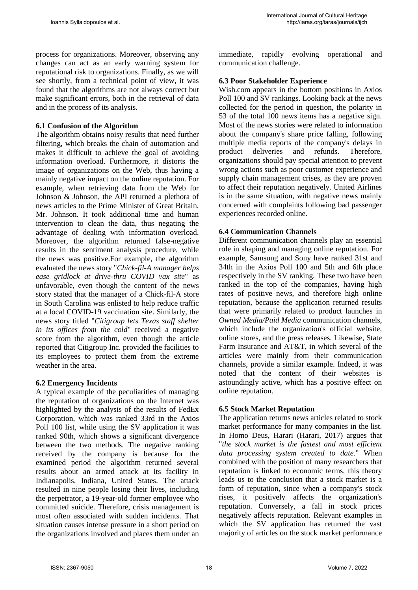process for organizations. Moreover, observing any changes can act as an early warning system for reputational risk to organizations. Finally, as we will see shortly, from a technical point of view, it was found that the algorithms are not always correct but make significant errors, both in the retrieval of data and in the process of its analysis.

### **6.1 Confusion of the Algorithm**

The algorithm obtains noisy results that need further filtering, which breaks the chain of automation and makes it difficult to achieve the goal of avoiding information overload. Furthermore, it distorts the image of organizations on the Web, thus having a mainly negative impact on the online reputation. For example, when retrieving data from the Web for Johnson & Johnson, the API returned a plethora of news articles to the Prime Minister of Great Britain, Mr. Johnson. It took additional time and human intervention to clean the data, thus negating the advantage of dealing with information overload. Moreover, the algorithm returned false-negative results in the sentiment analysis procedure, while the news was positive.For example, the algorithm evaluated the news story "*Chick-fil-A manager helps ease gridlock at drive-thru COVID vax site*" as unfavorable, even though the content of the news story stated that the manager of a Chick-fil-A store in South Carolina was enlisted to help reduce traffic at a local COVID-19 vaccination site. Similarly, the news story titled "*Citigroup lets Texas staff shelter in its offices from the cold*" received a negative score from the algorithm, even though the article reported that Citigroup Inc. provided the facilities to its employees to protect them from the extreme weather in the area.

### **6.2 Emergency Incidents**

A typical example of the peculiarities of managing the reputation of organizations on the Internet was highlighted by the analysis of the results of FedEx Corporation, which was ranked 33rd in the Axios Poll 100 list, while using the SV application it was ranked 90th, which shows a significant divergence between the two methods. The negative ranking received by the company is because for the examined period the algorithm returned several results about an armed attack at its facility in Indianapolis, Indiana, United States. The attack resulted in nine people losing their lives, including the perpetrator, a 19-year-old former employee who committed suicide. Therefore, crisis management is most often associated with sudden incidents. That situation causes intense pressure in a short period on the organizations involved and places them under an immediate, rapidly evolving operational and communication challenge.

### **6.3 Poor Stakeholder Experience**

Wish.com appears in the bottom positions in Axios Poll 100 and SV rankings. Looking back at the news collected for the period in question, the polarity in 53 of the total 100 news items has a negative sign. Most of the news stories were related to information about the company's share price falling, following multiple media reports of the company's delays in product deliveries and refunds. Therefore, organizations should pay special attention to prevent wrong actions such as poor customer experience and supply chain management crises, as they are proven to affect their reputation negatively. United Airlines is in the same situation, with negative news mainly concerned with complaints following bad passenger experiences recorded online.

### **6.4 Communication Channels**

Different communication channels play an essential role in shaping and managing online reputation. For example, Samsung and Sony have ranked 31st and 34th in the Axios Poll 100 and 5th and 6th place respectively in the SV ranking. These two have been ranked in the top of the companies, having high rates of positive news, and therefore high online reputation, because the application returned results that were primarily related to product launches in *Owned Media/Paid Media* communication channels, which include the organization's official website, online stores, and the press releases. Likewise, State Farm Insurance and AT&T, in which several of the articles were mainly from their communication channels, provide a similar example. Indeed, it was noted that the content of their websites is astoundingly active, which has a positive effect on online reputation.

### **6.5 Stock Market Reputation**

The application returns news articles related to stock market performance for many companies in the list. In Homo Deus, Harari (Harari, 2017) argues that "*the stock market is the fastest and most efficient data processing system created to date*." When combined with the position of many researchers that reputation is linked to economic terms, this theory leads us to the conclusion that a stock market is a form of reputation, since when a company's stock rises, it positively affects the organization's reputation. Conversely, a fall in stock prices negatively affects reputation. Relevant examples in which the SV application has returned the vast majority of articles on the stock market performance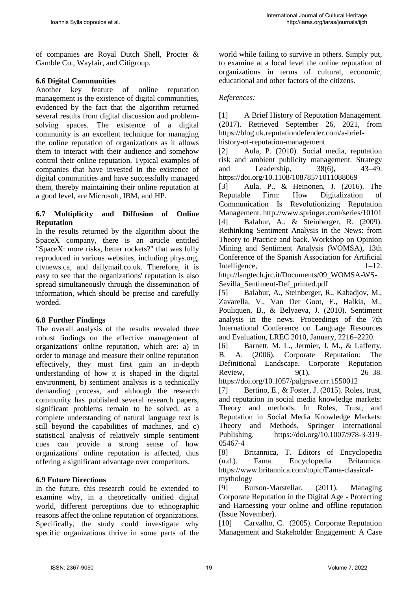of companies are Royal Dutch Shell, Procter & Gamble Co., Wayfair, and Citigroup.

### **6.6 Digital Communities**

Another key feature of online reputation management is the existence of digital communities, evidenced by the fact that the algorithm returned several results from digital discussion and problemsolving spaces. The existence of a digital community is an excellent technique for managing the online reputation of organizations as it allows them to interact with their audience and somehow control their online reputation. Typical examples of companies that have invested in the existence of digital communities and have successfully managed them, thereby maintaining their online reputation at a good level, are Microsoft, IBM, and HP.

### **6.7 Multiplicity and Diffusion of Online Reputation**

In the results returned by the algorithm about the SpaceX company, there is an article entitled "SpaceX: more risks, better rockets?" that was fully reproduced in various websites, including phys.org, ctvnews.ca, and dailymail.co.uk. Therefore, it is easy to see that the organizations' reputation is also spread simultaneously through the dissemination of information, which should be precise and carefully worded.

### **6.8 Further Findings**

The overall analysis of the results revealed three robust findings on the effective management of organizations' online reputation, which are: a) in order to manage and measure their online reputation effectively, they must first gain an in-depth understanding of how it is shaped in the digital environment, b) sentiment analysis is a technically demanding process, and although the research community has published several research papers, significant problems remain to be solved, as a complete understanding of natural language text is still beyond the capabilities of machines, and c) statistical analysis of relatively simple sentiment cues can provide a strong sense of how organizations' online reputation is affected, thus offering a significant advantage over competitors.

### **6.9 Future Directions**

In the future, this research could be extended to examine why, in a theoretically unified digital world, different perceptions due to ethnographic reasons affect the online reputation of organizations. Specifically, the study could investigate why specific organizations thrive in some parts of the world while failing to survive in others. Simply put, to examine at a local level the online reputation of organizations in terms of cultural, economic, educational and other factors of the citizens.

### *References:*

[1] A Brief History of Reputation Management. (2017). Retrieved September 26, 2021, from https://blog.uk.reputationdefender.com/a-briefhistory-of-reputation-management

[2] Aula, P. (2010). Social media, reputation risk and ambient publicity management. Strategy and Leadership, 38(6), 43–49. https://doi.org/10.1108/10878571011088069

[3] Aula, P., & Heinonen, J. (2016). The Reputable Firm: How Digitalization of Communication Is Revolutionizing Reputation Management. http://www.springer.com/series/10101 [4] Balahur, A., & Steinberger, R. (2009). Rethinking Sentiment Analysis in the News: from Theory to Practice and back. Workshop on Opinion Mining and Sentiment Analysis (WOMSA), 13th Conference of the Spanish Association for Artificial Intelligence. 1–12.

http://langtech.jrc.it/Documents/09\_WOMSA-WS-Sevilla\_Sentiment-Def\_printed.pdf

[5] Balahur, A., Steinberger, R., Kabadjov, M., Zavarella, V., Van Der Goot, E., Halkia, M., Pouliquen, B., & Belyaeva, J. (2010). Sentiment analysis in the news. Proceedings of the 7th International Conference on Language Resources and Evaluation, LREC 2010, January, 2216–2220.

[6] Barnett, M. L., Jermier, J. M., & Lafferty, B. A. (2006). Corporate Reputation: The Definitional Landscape. Corporate Reputation Review, 9(1), 26–38. https://doi.org/10.1057/palgrave.crr.1550012

[7] Bertino, E., & Foster, J. (2015). Roles, trust, and reputation in social media knowledge markets: Theory and methods. In Roles, Trust, and Reputation in Social Media Knowledge Markets: Theory and Methods. Springer International Publishing. [https://doi.org/10.1007/978-3-319-](https://doi.org/10.1007/978-3-319-05467-4) [05467-4](https://doi.org/10.1007/978-3-319-05467-4)

[8] Britannica, T. Editors of Encyclopedia (n.d.). Fama. Encyclopedia Britannica. https://www.britannica.com/topic/Fama-classicalmythology

[9] Burson-Marstellar. (2011). Managing Corporate Reputation in the Digital Age - Protecting and Harnessing your online and offline reputation (Issue November).

[10] Carvalho, C. (2005). Corporate Reputation Management and Stakeholder Engagement: A Case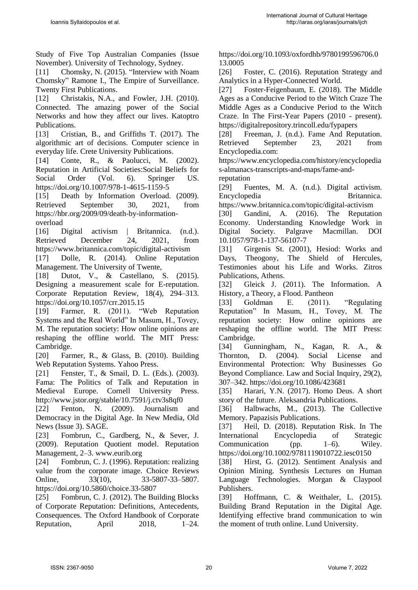Study of Five Top Australian Companies (Issue November). University of Technology, Sydney.

[11] Chomsky, N. (2015). "Interview with Noam Chomsky" Ramone I., The Empire of Surveillance. Twenty First Publications.

[12] Christakis, N.A., and Fowler, J.H. (2010). Connected. The amazing power of the Social Networks and how they affect our lives. Katoptro Publications.

[13] Cristian, B., and Griffiths T. (2017). The algorithmic art of decisions. Computer science in everyday life. Crete University Publications.

[14] Conte, R., & Paolucci, M. (2002). Reputation in Artificial Societies:Social Beliefs for Social Order (Vol. 6). Springer US. <https://doi.org/10.1007/978-1-4615-1159-5>

[15] Death by Information Overload. (2009). Retrieved September 30, 2021, from [https://hbr.org/2009/09/death-by-information](https://hbr.org/2009/09/death-by-information-overload)[overload](https://hbr.org/2009/09/death-by-information-overload)

[16] Digital activism | Britannica. (n.d.). Retrieved December 24, 2021, from https://www.britannica.com/topic/digital-activism

[17] Dolle, R. (2014). Online Reputation Management. The University of Twente,

[18] Dutot, V., & Castellano, S. (2015). Designing a measurement scale for E-reputation. Corporate Reputation Review, 18(4), 294–313. https://doi.org/10.1057/crr.2015.15

[19] Farmer, R. (2011). "Web Reputation Systems and the Real World" In Masum, H., Tovey, M. The reputation society: How online opinions are reshaping the offline world. The MIT Press: Cambridge.

[20] Farmer, R., & Glass, B. (2010). Building Web Reputation Systems. Yahoo Press.

[21] Fenster, T., & Smail, D. L. (Eds.). (2003). Fama: The Politics of Talk and Reputation in Medieval Europe. Cornell University Press. http://www.jstor.org/stable/10.7591/j.ctv3s8qf0

[22] Fenton, N. (2009). Journalism and Democracy in the Digital Age. In New Media, Old News (Issue 3). SAGE.

[23] Fombrun, C., Gardberg, N., & Sever, J. (2009). Reputation Quotient model. Reputation Management, 2–3. www.eurib.org

[24] Fombrun, C. J. (1996). Reputation: realizing value from the corporate image. Choice Reviews Online, 33(10), 33-5807-33-5807. https://doi.org/10.5860/choice.33-5807

[25] Fombrun, C. J. (2012). The Building Blocks of Corporate Reputation: Definitions, Antecedents, Consequences. The Oxford Handbook of Corporate Reputation, April  $2018$ ,  $1-24$ . https://doi.org/10.1093/oxfordhb/9780199596706.0 13.0005

[26] Foster, C. (2016). Reputation Strategy and Analytics in a Hyper-Connected World.

[27] Foster-Feigenbaum, E. (2018). The Middle Ages as a Conducive Period to the Witch Craze The Middle Ages as a Conducive Period to the Witch Craze. In The First-Year Papers (2010 - present). <https://digitalrepository.trincoll.edu/fypapers>

[28] Freeman, J. (n.d.). Fame And Reputation. Retrieved September 23, 2021 from Encyclopedia.com:

https://www.encyclopedia.com/history/encyclopedia s-almanacs-transcripts-and-maps/fame-andreputation

[29] Fuentes, M. A. (n.d.). Digital activism. Encyclopedia Britannica.

https://www.britannica.com/topic/digital-activism [30] Gandini, A. (2016). The Reputation Economy. Understanding Knowledge Work in Digital Society. Palgrave Macmillan. DOI 10.1057/978-1-137-56107-7

[31] Girgenis St. (2001), Hesiod: Works and Days, Theogony, The Shield of Hercules, Testimonies about his Life and Works. Zitros Publications, Athens.

[32] Gleick J. (2011). The Information. A History, a Theory, a Flood. Pantheon

[33] Goldman E. (2011). "Regulating Reputation" In Masum, H., Tovey, M. The reputation society: How online opinions are reshaping the offline world. The MIT Press: Cambridge.

[34] Gunningham, N., Kagan, R. A., & Thornton, D. (2004). Social License and Environmental Protection: Why Businesses Go Beyond Compliance. Law and Social Inquiry, 29(2), 307–342.<https://doi.org/10.1086/423681>

[35] Harari, Y.N. (2017). Homo Deus. A short story of the future. Aleksandria Publications.

[36] Halbwachs, M., (2013). The Collective Memory. Papazisis Publications.

[37] Heil, D. (2018). Reputation Risk. In The International Encyclopedia of Strategic Communication (pp. 1–6). Wiley. https://doi.org/10.1002/9781119010722.iesc0150

[38] Hirst, G. (2012). Sentiment Analysis and Opinion Mining. Synthesis Lectures on Human Language Technologies. Morgan & Claypool Publishers.

[39] Hoffmann, C. & Weithaler, L. (2015). Building Brand Reputation in the Digital Age. Identifying effective brand communication to win the moment of truth online. Lund University.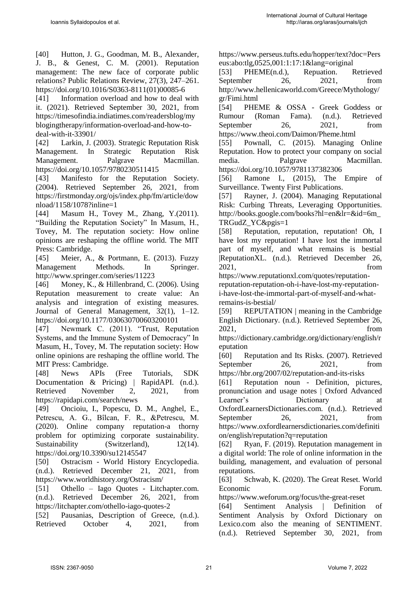[40] Hutton, J. G., Goodman, M. B., Alexander, J. B., & Genest, C. M. (2001). Reputation management: The new face of corporate public relations? Public Relations Review, 27(3), 247–261. [https://doi.org/10.1016/S0363-8111\(01\)00085-6](https://doi.org/10.1016/S0363-8111(01)00085-6)

[41] Information overload and how to deal with it. (2021). Retrieved September 30, 2021, from https://timesofindia.indiatimes.com/readersblog/my blogingtherapy/information-overload-and-how-todeal-with-it-33901/

[42] Larkin, J. (2003). Strategic Reputation Risk Management. In Strategic Reputation Risk Management. Palgrave Macmillan. <https://doi.org/10.1057/9780230511415>

[43] Manifesto for the Reputation Society. (2004). Retrieved September 26, 2021, from https://firstmonday.org/ojs/index.php/fm/article/dow nload/1158/1078?inline=1

[44] Masum H., Tovey M., Zhang, Y.(2011). "Building the Reputation Society" In Masum, H., Tovey, M. The reputation society: How online opinions are reshaping the offline world. The MIT Press: Cambridge.

[45] Meier, A., & Portmann, E. (2013). Fuzzy Management Methods. In Springer. http://www.springer.com/series/11223

[46] Money, K., & Hillenbrand, C. (2006). Using Reputation measurement to create value: An analysis and integration of existing measures. Journal of General Management, 32(1), 1–12. https://doi.org/10.1177/030630700603200101

[47] Newmark C. (2011). "Trust, Reputation Systems, and the Immune System of Democracy" In Masum, H., Tovey, M. The reputation society: How online opinions are reshaping the offline world. The MIT Press: Cambridge.

[48] News APIs (Free Tutorials, SDK Documentation & Pricing) | RapidAPI. (n.d.). Retrieved November 2, 2021, from https://rapidapi.com/search/news

[49] Oncioiu, I., Popescu, D. M., Anghel, E., Petrescu, A. G., Bîlcan, F. R., &Petrescu, M. (2020). Online company reputation-a thorny problem for optimizing corporate sustainability. Sustainability (Switzerland), 12(14). <https://doi.org/10.3390/su12145547>

[50] Ostracism - World History Encyclopedia. (n.d.). Retrieved December 21, 2021, from <https://www.worldhistory.org/Ostracism/>

[51] Othello – Iago Quotes - Litchapter.com. (n.d.). Retrieved December 26, 2021, from https://litchapter.com/othello-iago-quotes-2

[52] Pausanias, Description of Greece,  $(n.d.).$ Retrieved October 4, 2021, from [https://www.perseus.tufts.edu/hopper/text?doc=Pers](https://www.perseus.tufts.edu/hopper/text?doc=Perseus:abo:tlg,0525,001:1:17:1&lang=original) [eus:abo:tlg,0525,001:1:17:1&lang=original](https://www.perseus.tufts.edu/hopper/text?doc=Perseus:abo:tlg,0525,001:1:17:1&lang=original)

[53] PHEME(n.d.), Repuation. Retrieved September 26, 2021, from http://www.hellenicaworld.com/Greece/Mythology/ gr/Fimi.html

[54] PHEME & OSSA - Greek Goddess or Rumour (Roman Fama). (n.d.). Retrieved September 26, 2021, from https://www.theoi.com/Daimon/Pheme.html

[55] Pownall, C. (2015). Managing Online Reputation. How to protect your company on social media. Palgrave Macmillan. <https://doi.org/10.1057/9781137382306>

[56] Ramone I., (2015), The Empire of Surveillance. Twenty First Publications.

[57] Rayner, J. (2004). Managing Reputational Risk: Curbing Threats, Leveraging Opportunities. [http://books.google.com/books?hl=en&lr=&id=6m\\_](http://books.google.com/books?hl=en&lr=&id=6m_TRGudZ_YC&pgis=1) [TRGudZ\\_YC&pgis=1](http://books.google.com/books?hl=en&lr=&id=6m_TRGudZ_YC&pgis=1)

[58] Reputation, reputation, reputation! Oh, I have lost my reputation! I have lost the immortal part of myself, and what remains is bestial |ReputationXL. (n.d.). Retrieved December 26, 2021, from

https://www.reputationxl.com/quotes/reputation-

reputation-reputation-oh-i-have-lost-my-reputationi-have-lost-the-immortal-part-of-myself-and-whatremains-is-bestial/

[59] REPUTATION | meaning in the Cambridge English Dictionary. (n.d.). Retrieved September 26, 2021, from

[https://dictionary.cambridge.org/dictionary/english/r](https://dictionary.cambridge.org/dictionary/english/reputation) [eputation](https://dictionary.cambridge.org/dictionary/english/reputation)

[60] Reputation and Its Risks. (2007). Retrieved September 26, 2021, from <https://hbr.org/2007/02/reputation-and-its-risks>

[61] Reputation noun - Definition, pictures, pronunciation and usage notes | Oxford Advanced Learner's Dictionary at OxfordLearnersDictionaries.com. (n.d.). Retrieved September 26, 2021, from https://www.oxfordlearnersdictionaries.com/definiti on/english/reputation?q=reputation

[62] Ryan, F. (2019). Reputation management in a digital world: The role of online information in the building, management, and evaluation of personal reputations.

[63] Schwab, K. (2020). The Great Reset. World Economic Forum.

<https://www.weforum.org/focus/the-great-reset>

[64] Sentiment Analysis | Definition of Sentiment Analysis by Oxford Dictionary on Lexico.com also the meaning of SENTIMENT. (n.d.). Retrieved September 30, 2021, from